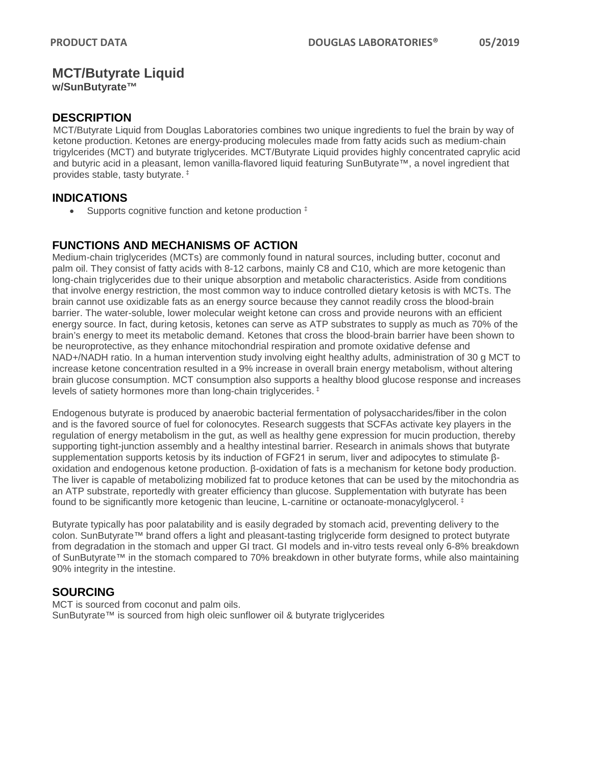## **MCT/Butyrate Liquid**

**w/SunButyrate™**

### **DESCRIPTION**

MCT/Butyrate Liquid from Douglas Laboratories combines two unique ingredients to fuel the brain by way of ketone production. Ketones are energy-producing molecules made from fatty acids such as medium-chain trigylcerides (MCT) and butyrate triglycerides. MCT/Butyrate Liquid provides highly concentrated caprylic acid and butyric acid in a pleasant, lemon vanilla-flavored liquid featuring SunButyrate™, a novel ingredient that provides stable, tasty butyrate. ‡

### **INDICATIONS**

• Supports cognitive function and ketone production  $\ddagger$ 

### **FUNCTIONS AND MECHANISMS OF ACTION**

Medium-chain triglycerides (MCTs) are commonly found in natural sources, including butter, coconut and palm oil. They consist of fatty acids with 8-12 carbons, mainly C8 and C10, which are more ketogenic than long-chain triglycerides due to their unique absorption and metabolic characteristics. Aside from conditions that involve energy restriction, the most common way to induce controlled dietary ketosis is with MCTs. The brain cannot use oxidizable fats as an energy source because they cannot readily cross the blood-brain barrier. The water-soluble, lower molecular weight ketone can cross and provide neurons with an efficient energy source. In fact, during ketosis, ketones can serve as ATP substrates to supply as much as 70% of the brain's energy to meet its metabolic demand. Ketones that cross the blood-brain barrier have been shown to be neuroprotective, as they enhance mitochondrial respiration and promote oxidative defense and NAD+/NADH ratio. In a human intervention study involving eight healthy adults, administration of 30 g MCT to increase ketone concentration resulted in a 9% increase in overall brain energy metabolism, without altering brain glucose consumption. MCT consumption also supports a healthy blood glucose response and increases levels of satiety hormones more than long-chain triglycerides. ‡

Endogenous butyrate is produced by anaerobic bacterial fermentation of polysaccharides/fiber in the colon and is the favored source of fuel for colonocytes. Research suggests that SCFAs activate key players in the regulation of energy metabolism in the gut, as well as healthy gene expression for mucin production, thereby supporting tight-junction assembly and a healthy intestinal barrier. Research in animals shows that butyrate supplementation supports ketosis by its induction of FGF21 in serum, liver and adipocytes to stimulate βoxidation and endogenous ketone production. β-oxidation of fats is a mechanism for ketone body production. The liver is capable of metabolizing mobilized fat to produce ketones that can be used by the mitochondria as an ATP substrate, reportedly with greater efficiency than glucose. Supplementation with butyrate has been found to be significantly more ketogenic than leucine, L-carnitine or octanoate-monacylglycerol. ‡

Butyrate typically has poor palatability and is easily degraded by stomach acid, preventing delivery to the colon. SunButyrate™ brand offers a light and pleasant-tasting triglyceride form designed to protect butyrate from degradation in the stomach and upper GI tract. GI models and in-vitro tests reveal only 6-8% breakdown of SunButyrate™ in the stomach compared to 70% breakdown in other butyrate forms, while also maintaining 90% integrity in the intestine.

### **SOURCING**

MCT is sourced from coconut and palm oils. SunButyrate™ is sourced from high oleic sunflower oil & butyrate triglycerides